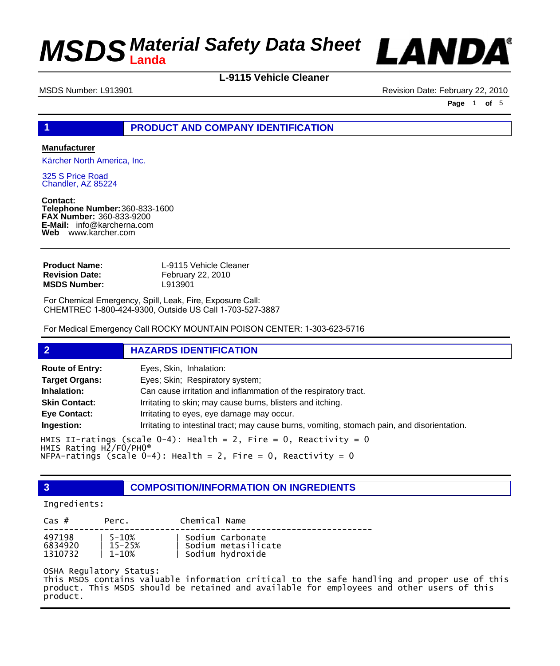

**L-9115 Vehicle Cleaner**

MSDS Number: L913901 Revision Date: February 22, 2010

**Page** 1 **of** 5

### **1 PRODUCT AND COMPANY IDENTIFICATION**

### **Manufacturer**

Kärcher North America, Inc.

325 S Price Road Chandler, AZ 85224

**Contact: Telephone Number:** 360-833-1600 **FAX Number:** 360-833-9200 **E-Mail:** info@karcherna.com **Web** www.karcher.com

| <b>Product Name:</b>  | L-9115 Vehicle Cleaner |
|-----------------------|------------------------|
| <b>Revision Date:</b> | February 22, 2010      |
| <b>MSDS Number:</b>   | L913901                |

For Chemical Emergency, Spill, Leak, Fire, Exposure Call: CHEMTREC 1-800-424-9300, Outside US Call 1-703-527-3887

For Medical Emergency Call ROCKY MOUNTAIN POISON CENTER: 1-303-623-5716

### **2 HAZARDS IDENTIFICATION**

| <b>Route of Entry:</b>                                                                                              | Eyes, Skin, Inhalation:                                                                      |
|---------------------------------------------------------------------------------------------------------------------|----------------------------------------------------------------------------------------------|
| <b>Target Organs:</b>                                                                                               | Eyes; Skin; Respiratory system;                                                              |
| Inhalation:                                                                                                         | Can cause irritation and inflammation of the respiratory tract.                              |
| <b>Skin Contact:</b>                                                                                                | Irritating to skin; may cause burns, blisters and itching.                                   |
| <b>Eye Contact:</b>                                                                                                 | Irritating to eyes, eye damage may occur.                                                    |
| Ingestion:                                                                                                          | Irritating to intestinal tract; may cause burns, vomiting, stomach pain, and disorientation. |
| HMIS II-ratings (scale $0-4$ ): Health = 2, Fire = 0, Reactivity = 0<br>HMIS Rating $H\bar{Z}/F\bar{O}/PHO^{\circ}$ |                                                                                              |

NFPA-ratings (scale  $0-4$ ): Health = 2, Fire = 0, Reactivity = 0

**3 COMPOSITION/INFORMATION ON INGREDIENTS**

#### Ingredients:

| $\text{Cas}~#$ | Perc.  | Chemical Name       |
|----------------|--------|---------------------|
| 497198         | 5-10%  | Sodium Carbonate    |
| 6834920        | 15-25% | Sodium metasilicate |
| 1310732        | 1-10%  | Sodium hydroxide    |

OSHA Regulatory Status:

This MSDS contains valuable information critical to the safe handling and proper use of this product. This MSDS should be retained and available for employees and other users of this product.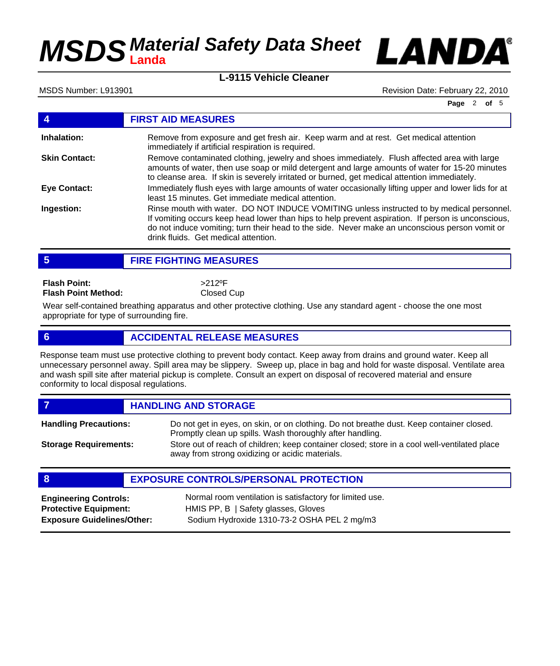



MSDS Number: L913901 **Revision Date: February 22, 2010** Revision Date: February 22, 2010

**Page** 2 **of** 5

|                      | <b>FIRST AID MEASURES</b>                                                                                                                                                                                                                                                                                                                 |
|----------------------|-------------------------------------------------------------------------------------------------------------------------------------------------------------------------------------------------------------------------------------------------------------------------------------------------------------------------------------------|
| Inhalation:          | Remove from exposure and get fresh air. Keep warm and at rest. Get medical attention<br>immediately if artificial respiration is required.                                                                                                                                                                                                |
| <b>Skin Contact:</b> | Remove contaminated clothing, jewelry and shoes immediately. Flush affected area with large<br>amounts of water, then use soap or mild detergent and large amounts of water for 15-20 minutes<br>to cleanse area. If skin is severely irritated or burned, get medical attention immediately.                                             |
| Eye Contact:         | Immediately flush eyes with large amounts of water occasionally lifting upper and lower lids for at<br>least 15 minutes. Get immediate medical attention.                                                                                                                                                                                 |
| Ingestion:           | Rinse mouth with water. DO NOT INDUCE VOMITING unless instructed to by medical personnel.<br>If vomiting occurs keep head lower than hips to help prevent aspiration. If person is unconscious,<br>do not induce vomiting; turn their head to the side. Never make an unconscious person vomit or<br>drink fluids. Get medical attention. |

**5 FIRE FIGHTING MEASURES**

**Flash Point: Flash Point Method:** >212ºF Closed Cup

Wear self-contained breathing apparatus and other protective clothing. Use any standard agent - choose the one most appropriate for type of surrounding fire.

## **6 ACCIDENTAL RELEASE MEASURES**

Response team must use protective clothing to prevent body contact. Keep away from drains and ground water. Keep all unnecessary personnel away. Spill area may be slippery. Sweep up, place in bag and hold for waste disposal. Ventilate area and wash spill site after material pickup is complete. Consult an expert on disposal of recovered material and ensure conformity to local disposal regulations.

*HANDLING AND STORAGE* Do not get in eyes, on skin, or on clothing. Do not breathe dust. Keep container closed. Promptly clean up spills. Wash thoroughly after handling. **Handling Precautions:** Store out of reach of children; keep container closed; store in a cool well-ventilated place away from strong oxidizing or acidic materials. **Storage Requirements:**

## **8 EXPOSURE CONTROLS/PERSONAL PROTECTION**

**Engineering Controls:** Normal room ventilation is satisfactory for limited use. **Protective Equipment:** HMIS PP, B | Safety glasses, Gloves **Exposure Guidelines/Other:** Sodium Hydroxide 1310-73-2 OSHA PEL 2 mg/m3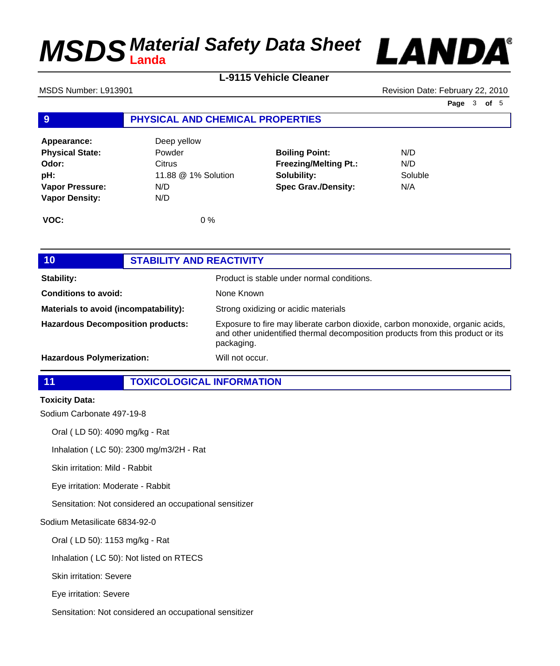

**L-9115 Vehicle Cleaner**

MSDS Number: L913901 Revision Date: February 22, 2010

**Page** 3 **of** 5

## **9 PHYSICAL AND CHEMICAL PROPERTIES**

| Appearance:            | Deep yellow         |                              |         |
|------------------------|---------------------|------------------------------|---------|
| <b>Physical State:</b> | Powder              | <b>Boiling Point:</b>        | N/D     |
| Odor:                  | Citrus              | <b>Freezing/Melting Pt.:</b> | N/D     |
| pH:                    | 11.88 @ 1% Solution | Solubility:                  | Soluble |
| <b>Vapor Pressure:</b> | N/D                 | <b>Spec Grav./Density:</b>   | N/A     |
| <b>Vapor Density:</b>  | N/D                 |                              |         |
| VOC:                   | $0\%$               |                              |         |

| 10 <sub>1</sub>                          | <b>STABILITY AND REACTIVITY</b> |                                                                                                                                                                               |
|------------------------------------------|---------------------------------|-------------------------------------------------------------------------------------------------------------------------------------------------------------------------------|
| <b>Stability:</b>                        |                                 | Product is stable under normal conditions.                                                                                                                                    |
| <b>Conditions to avoid:</b>              |                                 | None Known                                                                                                                                                                    |
| Materials to avoid (incompatability):    |                                 | Strong oxidizing or acidic materials                                                                                                                                          |
| <b>Hazardous Decomposition products:</b> |                                 | Exposure to fire may liberate carbon dioxide, carbon monoxide, organic acids,<br>and other unidentified thermal decomposition products from this product or its<br>packaging. |
| <b>Hazardous Polymerization:</b>         |                                 | Will not occur.                                                                                                                                                               |

**11 TOXICOLOGICAL INFORMATION**

### **Toxicity Data:**

Sodium Carbonate 497-19-8

Oral ( LD 50): 4090 mg/kg - Rat

Inhalation ( LC 50): 2300 mg/m3/2H - Rat

Skin irritation: Mild - Rabbit

Eye irritation: Moderate - Rabbit

Sensitation: Not considered an occupational sensitizer

#### Sodium Metasilicate 6834-92-0

Oral ( LD 50): 1153 mg/kg - Rat

Inhalation ( LC 50): Not listed on RTECS

Skin irritation: Severe

Eye irritation: Severe

Sensitation: Not considered an occupational sensitizer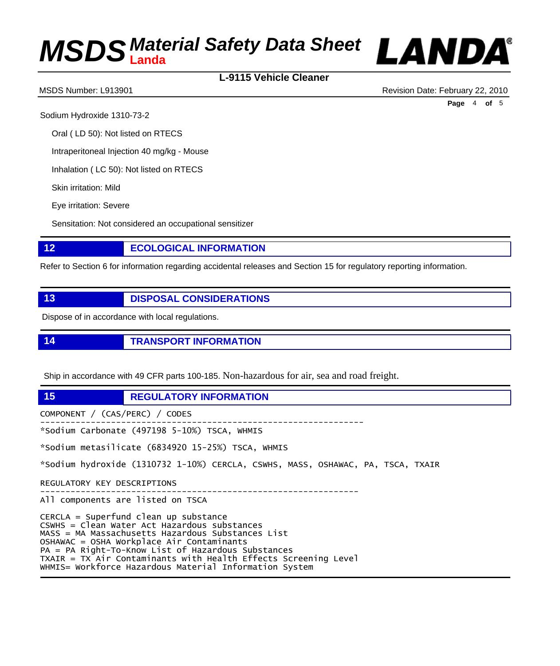## **L-9115 Vehicle Cleaner**



MSDS Number: L913901 Revision Date: February 22, 2010

**Page** 4 **of** 5

Sodium Hydroxide 1310-73-2

Oral ( LD 50): Not listed on RTECS

Intraperitoneal Injection 40 mg/kg - Mouse

Inhalation ( LC 50): Not listed on RTECS

Skin irritation: Mild

Eye irritation: Severe

Sensitation: Not considered an occupational sensitizer

# **12 ECOLOGICAL INFORMATION**

Refer to Section 6 for information regarding accidental releases and Section 15 for regulatory reporting information.

**13 DISPOSAL CONSIDERATIONS**

Dispose of in accordance with local regulations.

**14 TRANSPORT INFORMATION**

Ship in accordance with 49 CFR parts 100-185. Non-hazardous for air, sea and road freight.

**15 REGULATORY INFORMATION**

COMPONENT / (CAS/PERC) / CODES ---------------------------------------------------------------- \*Sodium Carbonate (497198 5-10%) TSCA, WHMIS \*Sodium metasilicate (6834920 15-25%) TSCA, WHMIS \*Sodium hydroxide (1310732 1-10%) CERCLA, CSWHS, MASS, OSHAWAC, PA, TSCA, TXAIR REGULATORY KEY DESCRIPTIONS --------------------------------------------------------------- All components are listed on TSCA CERCLA = Superfund clean up substance CSWHS = Clean Water Act Hazardous substances MASS = MA Massachusetts Hazardous Substances List OSHAWAC = OSHA Workplace Air Contaminants PA = PA Right-To-Know List of Hazardous Substances TXAIR = TX Air Contaminants with Health Effects Screening Level WHMIS= Workforce Hazardous Material Information System